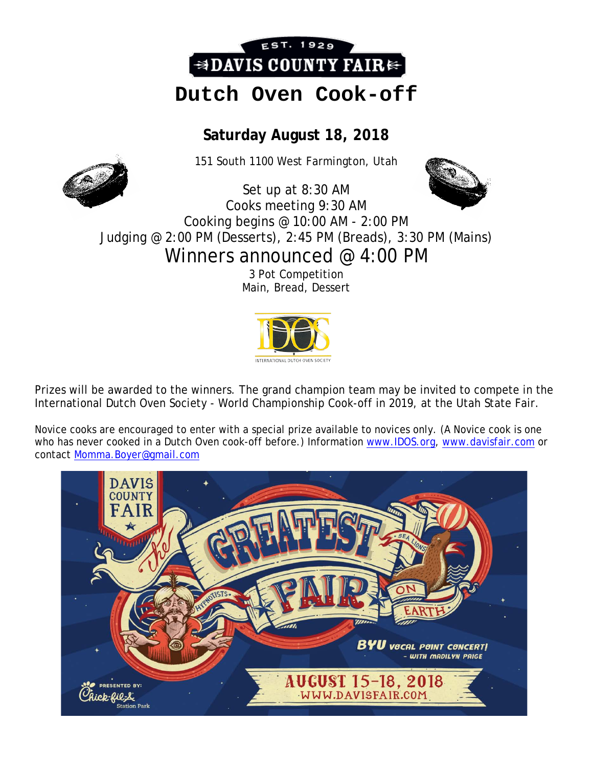

# **Dutch Oven Cook-off**

## **Saturday August 18, 2018**

151 South 1100 West Farmington, Utah

Set up at 8:30 AM



Cooks meeting 9:30 AM Cooking begins @ 10:00 AM - 2:00 PM Judging @ 2:00 PM (Desserts), 2:45 PM (Breads), 3:30 PM (Mains)

Winners announced @ 4:00 PM

3 Pot Competition Main, Bread, Dessert



Prizes will be awarded to the winners. The grand champion team may be invited to compete in the International Dutch Oven Society - World Championship Cook-off in 2019, at the Utah State Fair.

Novice cooks are encouraged to enter with a special prize available to novices only. (A Novice cook is one who has never cooked in a Dutch Oven cook-off before.) Information [www.IDOS.org,](http://www.idos.org/) [www.davisfair.com](http://www.davisfair.com/) or contact [Momma.Boyer@gmail.com](mailto:Momma.Boyer@gmail.com)

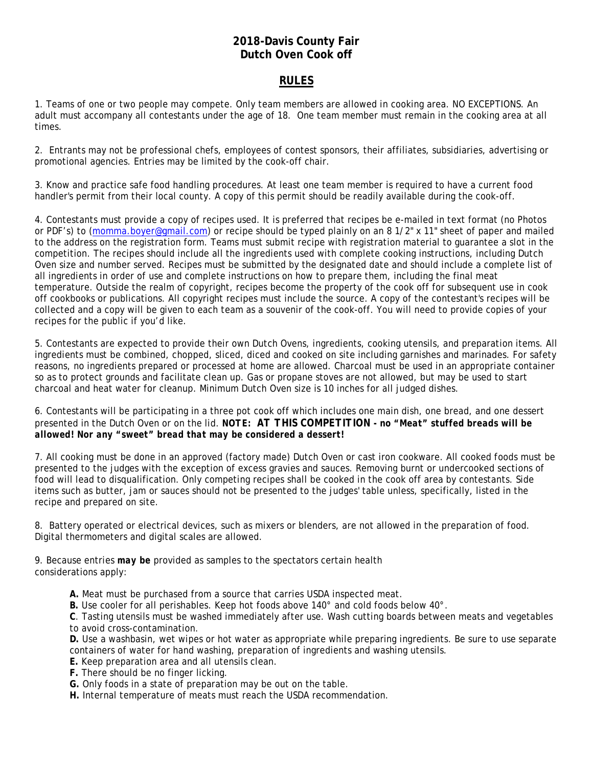#### **2018-Davis County Fair Dutch Oven Cook off**

#### **RULES**

1. Teams of one or two people may compete. Only team members are allowed in cooking area. NO EXCEPTIONS. An adult must accompany all contestants under the age of 18. One team member must remain in the cooking area at all times.

2. Entrants may not be professional chefs, employees of contest sponsors, their affiliates, subsidiaries, advertising or promotional agencies. Entries may be limited by the cook-off chair.

3. Know and practice safe food handling procedures. At least one team member is required to have a current food handler's permit from their local county. A copy of this permit should be readily available during the cook-off.

4. Contestants must provide a copy of recipes used. It is preferred that recipes be e-mailed in text format (no Photos or PDF's) to [\(momma.boyer@gmail.com\)](mailto:momma.boyer@gmail.com) or recipe should be typed plainly on an 8 1/2" x 11" sheet of paper and mailed to the address on the registration form. Teams must submit recipe with registration material to guarantee a slot in the competition. The recipes should include all the ingredients used with complete cooking instructions, including Dutch Oven size and number served. Recipes must be submitted by the designated date and should include a complete list of all ingredients in order of use and complete instructions on how to prepare them, including the final meat temperature. Outside the realm of copyright, recipes become the property of the cook off for subsequent use in cook off cookbooks or publications. All copyright recipes must include the source. A copy of the contestant's recipes will be collected and a copy will be given to each team as a souvenir of the cook-off. You will need to provide copies of your recipes for the public if you'd like.

5. Contestants are expected to provide their own Dutch Ovens, ingredients, cooking utensils, and preparation items. All ingredients must be combined, chopped, sliced, diced and cooked on site including garnishes and marinades. For safety reasons, no ingredients prepared or processed at home are allowed. Charcoal must be used in an appropriate container so as to protect grounds and facilitate clean up. Gas or propane stoves are not allowed, but may be used to start charcoal and heat water for cleanup. Minimum Dutch Oven size is 10 inches for all judged dishes.

6. Contestants will be participating in a three pot cook off which includes one main dish, one bread, and one dessert presented in the Dutch Oven or on the lid. *NOTE: AT THIS COMPETITION - no "Meat" stuffed breads will be allowed! Nor any "sweet" bread that may be considered a dessert!*

7. All cooking must be done in an approved (factory made) Dutch Oven or cast iron cookware. All cooked foods must be presented to the judges with the exception of excess gravies and sauces. Removing burnt or undercooked sections of food will lead to disqualification. Only competing recipes shall be cooked in the cook off area by contestants. Side items such as butter, jam or sauces should not be presented to the judges' table unless, specifically, listed in the recipe and prepared on site.

8. Battery operated or electrical devices, such as mixers or blenders, are not allowed in the preparation of food. Digital thermometers and digital scales are allowed.

9. Because entries *may be* provided as samples to the spectators certain health considerations apply:

**A.** Meat must be purchased from a source that carries USDA inspected meat.

**B.** Use cooler for all perishables. Keep hot foods above 140° and cold foods below 40°.

**C**. Tasting utensils must be washed immediately after use. Wash cutting boards between meats and vegetables to avoid cross-contamination.

**D.** Use a washbasin, wet wipes or hot water as appropriate while preparing ingredients. Be sure to use separate containers of water for hand washing, preparation of ingredients and washing utensils.

- **E.** Keep preparation area and all utensils clean.
- **F.** There should be no finger licking.
- **G.** Only foods in a state of preparation may be out on the table.
- **H.** Internal temperature of meats must reach the USDA recommendation.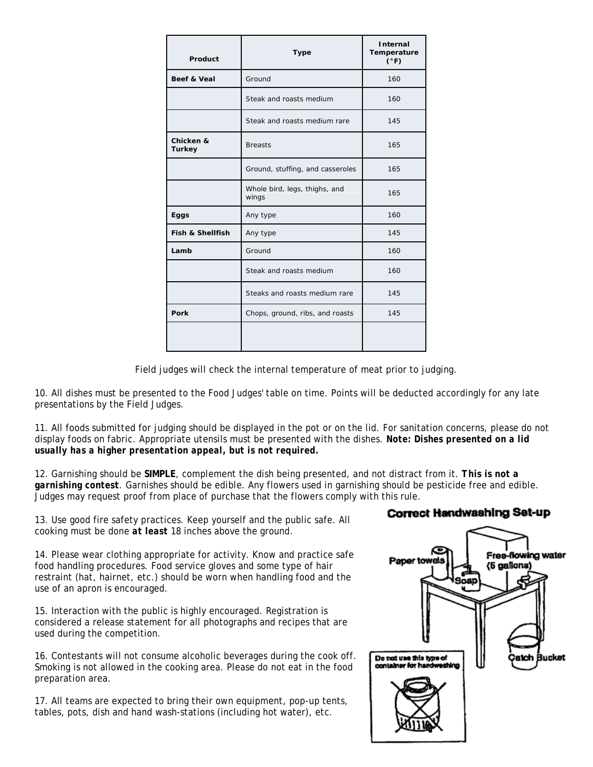| Product                    | <b>Type</b>                            | Internal<br>Temperature<br>$(^{\circ}F)$ |
|----------------------------|----------------------------------------|------------------------------------------|
| Beef & Veal                | Ground                                 | 160                                      |
|                            | Steak and roasts medium                | 160                                      |
|                            | Steak and roasts medium rare           | 145                                      |
| Chicken &<br><b>Turkey</b> | <b>Breasts</b>                         | 165                                      |
|                            | Ground, stuffing, and casseroles       | 165                                      |
|                            | Whole bird, legs, thighs, and<br>wings | 165                                      |
| Eggs                       | Any type                               | 160                                      |
| Fish & Shellfish           | Any type                               | 145                                      |
| Lamb                       | Ground                                 | 160                                      |
|                            | Steak and roasts medium                | 160                                      |
|                            | Steaks and roasts medium rare          | 145                                      |
| Pork                       | Chops, ground, ribs, and roasts        | 145                                      |
|                            |                                        |                                          |

Field judges will check the internal temperature of meat prior to judging.

10. All dishes must be presented to the Food Judges' table on time. Points will be deducted accordingly for any late presentations by the Field Judges.

11. All foods submitted for judging should be displayed in the pot or on the lid. For sanitation concerns, please do not display foods on fabric. Appropriate utensils must be presented with the dishes. *Note: Dishes presented on a lid usually has a higher presentation appeal, but is not required.*

12. Garnishing should be **SIMPLE**, complement the dish being presented, and not distract from it. *This is not a garnishing contest*. Garnishes should be edible. Any flowers used in garnishing should be pesticide free and edible. Judges may request proof from place of purchase that the flowers comply with this rule.

13. Use good fire safety practices. Keep yourself and the public safe. All cooking must be done *at least* 18 inches above the ground.

14. Please wear clothing appropriate for activity. Know and practice safe food handling procedures. Food service gloves and some type of hair restraint (hat, hairnet, etc.) should be worn when handling food and the use of an apron is encouraged.

15. Interaction with the public is highly encouraged. Registration is considered a release statement for all photographs and recipes that are used during the competition.

16. Contestants will not consume alcoholic beverages during the cook off. Smoking is not allowed in the cooking area. Please do not eat in the food preparation area.

17. All teams are expected to bring their own equipment, pop-up tents, tables, pots, dish and hand wash-stations (including hot water), etc.

#### Correct Handwashing Set-up

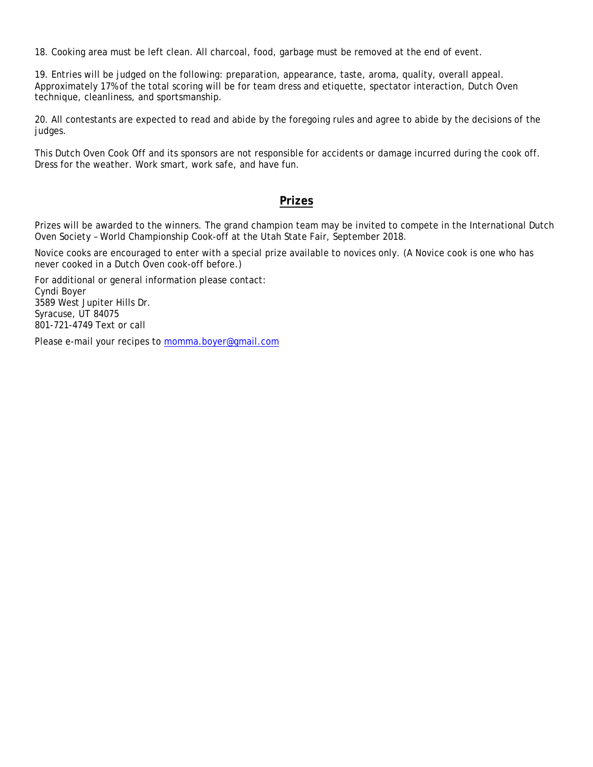18. Cooking area must be left clean. All charcoal, food, garbage must be removed at the end of event.

19. Entries will be judged on the following: preparation, appearance, taste, aroma, quality, overall appeal. Approximately 17% of the total scoring will be for team dress and etiquette, spectator interaction, Dutch Oven technique, cleanliness, and sportsmanship.

20. All contestants are expected to read and abide by the foregoing rules and agree to abide by the decisions of the judges.

This Dutch Oven Cook Off and its sponsors are not responsible for accidents or damage incurred during the cook off. Dress for the weather. Work smart, work safe, and have fun.

#### **Prizes**

Prizes will be awarded to the winners. The grand champion team may be invited to compete in the International Dutch Oven Society – World Championship Cook-off at the Utah State Fair, September 2018.

Novice cooks are encouraged to enter with a special prize available to novices only. (A Novice cook is one who has never cooked in a Dutch Oven cook-off before.)

For additional or general information please contact: Cyndi Boyer 3589 West Jupiter Hills Dr. Syracuse, UT 84075 801-721-4749 Text or call

Please e-mail your recipes to [momma.boyer@gmail.com](mailto:CBoyer3298@aol.com)